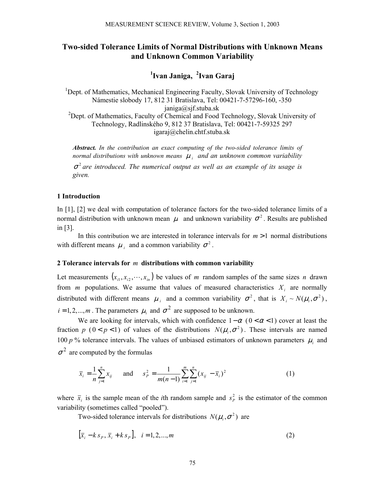# **Two-sided Tolerance Limits of Normal Distributions with Unknown Means and Unknown Common Variability**

**1 Ivan Janiga, <sup>2</sup> Ivan Garaj** 

<sup>1</sup>Dept. of Mathematics, Mechanical Engineering Faculty, Slovak University of Technology Námestie slobody 17, 812 31 Bratislava, Tel: 00421-7-57296-160, -350 janiga@sjf.stuba.sk <sup>2</sup>Dept. of Mathematics, Faculty of Chemical and Food Technology, Slovak University of Technology, Radlinského 9, 812 37 Bratislava, Tel: 00421-7-59325 297 igaraj@chelin.chtf.stuba.sk

*Abstract. In the contribution an exact computing of the two-sided tolerance limits of normal distributions with unknown means* <sup>µ</sup> *i and an unknown common variability*   $\sigma^2$  are introduced. The numerical output as well as an example of its usage is *given.*

#### **1 Introduction**

In [1], [2] we deal with computation of tolerance factors for the two-sided tolerance limits of a normal distribution with unknown mean  $\mu$  and unknown variability  $\sigma^2$ . Results are published in [3].

In this contribution we are interested in tolerance intervals for  $m > 1$  normal distributions with different means  $\mu_i$  and a common variability  $\sigma^2$ .

#### **2 Tolerance intervals for** *m* **distributions with common variability**

Let measurements  $(x_{i1}, x_{i2}, \dots, x_{in})$  be values of *m* random samples of the same sizes *n* drawn from  $m$  populations. We assume that values of measured characteristics  $X_i$  are normally distributed with different means  $\mu_i$  and a common variability  $\sigma^2$ , that is  $X_i \sim N(\mu_i, \sigma^2)$ ,  $i = 1, 2, \dots, m$ . The parameters  $\mu_i$  and  $\sigma^2$  are supposed to be unknown.

We are looking for intervals, which with confidence  $1-\alpha$  ( $0 < \alpha < 1$ ) cover at least the fraction *p* ( $0 < p < 1$ ) of values of the distributions  $N(\mu_i, \sigma^2)$ . These intervals are named 100  $p$ % tolerance intervals. The values of unbiased estimators of unknown parameters  $\mu_i$  and  $\sigma^2$  are computed by the formulas

$$
\bar{x}_i = \frac{1}{n} \sum_{j=1}^n x_{ij} \quad \text{and} \quad s_P^2 = \frac{1}{m(n-1)} \sum_{i=1}^m \sum_{j=1}^n (x_{ij} - \bar{x}_i)^2 \tag{1}
$$

where  $\bar{x}_i$  is the sample mean of the *i*th random sample and  $s_p^2$  is the estimator of the common variability (sometimes called "pooled").

Two-sided tolerance intervals for distributions  $N(\mu_i, \sigma^2)$  are

$$
[\bar{x}_i - k s_p, \bar{x}_i + k s_p], \quad i = 1, 2, ..., m
$$
 (2)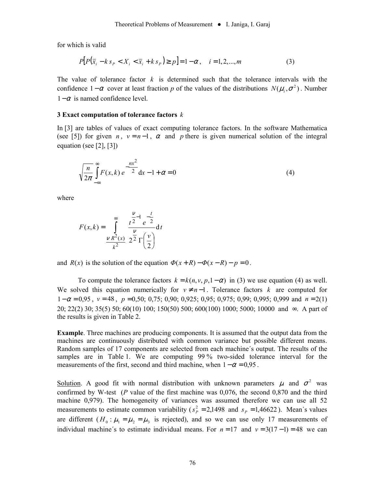for which is valid

$$
P[P(\bar{x}_i - k s_p < X_i < \bar{x}_i + k s_p) \ge p] = 1 - \alpha, \quad i = 1, 2, \dots, m \tag{3}
$$

The value of tolerance factor *k* is determined such that the tolerance intervals with the confidence  $1-\alpha$  cover at least fraction *p* of the values of the distributions  $N(\mu_i, \sigma^2)$ . Number  $1-\alpha$  is named confidence level.

#### **3 Exact computation of tolerance factors** *k*

In [3] are tables of values of exact computing tolerance factors. In the software Mathematica (see [5]) for given *n*,  $v = n-1$ ,  $\alpha$  and *p* there is given numerical solution of the integral equation (see [2], [3])

$$
\sqrt{\frac{n}{2\pi}} \int_{-\infty}^{\infty} F(x,k) e^{-\frac{nx^2}{2}} dx - 1 + \alpha = 0
$$
\n(4)

where

$$
F(x,k) = \int_{\frac{V}{R^2}}^{\infty} \frac{t^{\frac{V}{2}-1} e^{-\frac{t}{2}}}{\frac{V}{R^2}} dt
$$

and  $R(x)$  is the solution of the equation  $\Phi(x+R) - \Phi(x-R) - p = 0$ .

To compute the tolerance factors  $k = k(n, v, p, 1-\alpha)$  in (3) we use equation (4) as well. We solved this equation numerically for  $v \neq n-1$ . Tolerance factors *k* are computed for  $1-\alpha = 0.95$ ,  $v = 48$ ,  $p = 0.50$ ; 0,75; 0,90; 0,925; 0,95; 0,975; 0,99; 0,995; 0,999 and  $n = 2(1)$ 20; 22(2) 30; 35(5) 50; 60(10) 100; 150(50) 500; 600(100) 1000; 5000; 10000 and ∞. A part of the results is given in Table 2.

**Example**. Three machines are producing components. It is assumed that the output data from the machines are continuously distributed with common variance but possible different means. Random samples of 17 components are selected from each machine´s output. The results of the samples are in Table 1. We are computing 99 % two-sided tolerance interval for the measurements of the first, second and third machine, when  $1 - \alpha = 0.95$ .

Solution. A good fit with normal distribution with unknown parameters  $\mu$  and  $\sigma^2$  was confirmed by W-test (*P* value of the first machine was 0,076, the second 0,870 and the third machine 0,979). The homogeneity of variances was assumed therefore we can use all 52 measurements to estimate common variability ( $s_p^2 = 2,1498$  and  $s_p = 1,46622$ ). Mean's values are different  $(H_0 : \mu_1 = \mu_2 = \mu_3$  is rejected), and so we can use only 17 measurements of individual machine's to estimate individual means. For  $n = 17$  and  $v = 3(17 - 1) = 48$  we can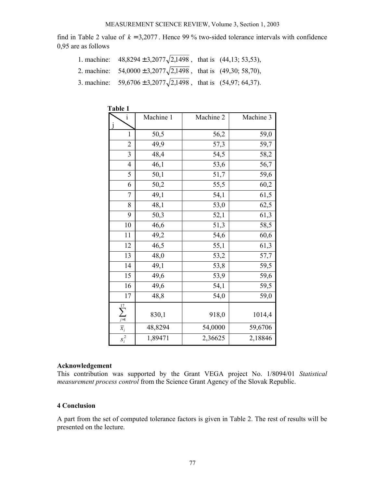#### MEASUREMENT SCIENCE REVIEW, Volume 3, Section 1, 2003

find in Table 2 value of  $k = 3,2077$ . Hence 99 % two-sided tolerance intervals with confidence 0,95 are as follows

| 1. machine: $48,8294 \pm 3,2077\sqrt{2,1498}$ , that is $(44,13; 53,53)$ , |  |
|----------------------------------------------------------------------------|--|
| 2. machine: $54,0000 \pm 3,2077 \sqrt{2,1498}$ , that is (49,30; 58,70),   |  |
| 3. machine: $59,6706 \pm 3,2077\sqrt{2,1498}$ , that is $(54,97,64,37)$ .  |  |

|                   | 1 apie 1  |           |           |  |  |  |  |  |
|-------------------|-----------|-----------|-----------|--|--|--|--|--|
| 1                 | Machine 1 | Machine 2 | Machine 3 |  |  |  |  |  |
| $\mathbf{1}$      | 50,5      | 56,2      | 59,0      |  |  |  |  |  |
| $\overline{2}$    | 49,9      | 57,3      | 59,7      |  |  |  |  |  |
| 3                 | 48,4      | 54,5      | 58,2      |  |  |  |  |  |
| $\overline{4}$    | 46,1      | 53,6      | 56,7      |  |  |  |  |  |
| 5                 | 50,1      | 51,7      | 59,6      |  |  |  |  |  |
| 6                 | 50,2      | 55,5      | 60,2      |  |  |  |  |  |
| 7                 | 49,1      | 54,1      | 61,5      |  |  |  |  |  |
| 8                 | 48,1      | 53,0      | 62,5      |  |  |  |  |  |
| 9                 | 50,3      | 52,1      | 61,3      |  |  |  |  |  |
| 10                | 46,6      | 51,3      | 58,5      |  |  |  |  |  |
| 11                | 49,2      | 54,6      | 60,6      |  |  |  |  |  |
| 12                | 46,5      | 55,1      | 61,3      |  |  |  |  |  |
| 13                | 48,0      | 53,2      | 57,7      |  |  |  |  |  |
| 14                | 49,1      | 53,8      | 59,5      |  |  |  |  |  |
| 15                | 49,6      | 53,9      | 59,6      |  |  |  |  |  |
| 16                | 49,6      | 54,1      | 59,5      |  |  |  |  |  |
| 17                | 48,8      | 54,0      | 59,0      |  |  |  |  |  |
| $\sum_{j=1}^{17}$ | 830,1     | 918,0     | 1014,4    |  |  |  |  |  |
|                   | 48,8294   | 54,0000   | 59,6706   |  |  |  |  |  |
| $s_i^2$           | 1,89471   | 2,36625   | 2,18846   |  |  |  |  |  |

### **Table 1**

#### **Acknowledgement**

This contribution was supported by the Grant VEGA project No. 1/8094/01 *Statistical measurement process control* from the Science Grant Agency of the Slovak Republic.

## **4 Conclusion**

A part from the set of computed tolerance factors is given in Table 2. The rest of results will be presented on the lecture.